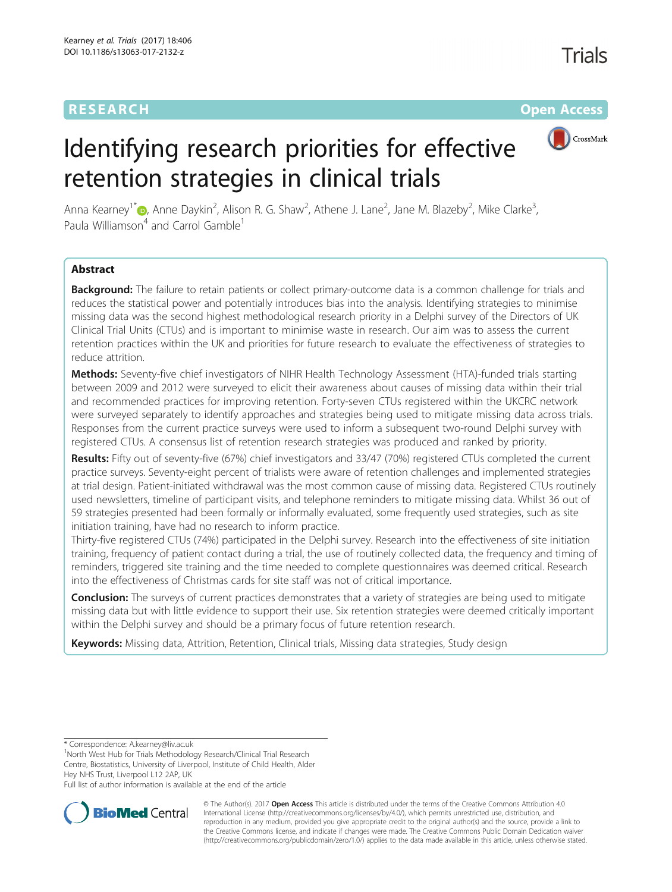# **RESEARCH CHE Open Access**

Trials



# Identifying research priorities for effective retention strategies in clinical trials

Anna Kearney<sup>1[\\*](http://orcid.org/0000-0003-1404-3370)</sup> D, Anne Daykin<sup>2</sup>, Alison R. G. Shaw<sup>2</sup>, Athene J. Lane<sup>2</sup>, Jane M. Blazeby<sup>2</sup>, Mike Clarke<sup>3</sup> , Paula Williamson<sup>4</sup> and Carrol Gamble<sup>1</sup>

# Abstract

Background: The failure to retain patients or collect primary-outcome data is a common challenge for trials and reduces the statistical power and potentially introduces bias into the analysis. Identifying strategies to minimise missing data was the second highest methodological research priority in a Delphi survey of the Directors of UK Clinical Trial Units (CTUs) and is important to minimise waste in research. Our aim was to assess the current retention practices within the UK and priorities for future research to evaluate the effectiveness of strategies to reduce attrition.

Methods: Seventy-five chief investigators of NIHR Health Technology Assessment (HTA)-funded trials starting between 2009 and 2012 were surveyed to elicit their awareness about causes of missing data within their trial and recommended practices for improving retention. Forty-seven CTUs registered within the UKCRC network were surveyed separately to identify approaches and strategies being used to mitigate missing data across trials. Responses from the current practice surveys were used to inform a subsequent two-round Delphi survey with registered CTUs. A consensus list of retention research strategies was produced and ranked by priority.

Results: Fifty out of seventy-five (67%) chief investigators and 33/47 (70%) registered CTUs completed the current practice surveys. Seventy-eight percent of trialists were aware of retention challenges and implemented strategies at trial design. Patient-initiated withdrawal was the most common cause of missing data. Registered CTUs routinely used newsletters, timeline of participant visits, and telephone reminders to mitigate missing data. Whilst 36 out of 59 strategies presented had been formally or informally evaluated, some frequently used strategies, such as site initiation training, have had no research to inform practice.

Thirty-five registered CTUs (74%) participated in the Delphi survey. Research into the effectiveness of site initiation training, frequency of patient contact during a trial, the use of routinely collected data, the frequency and timing of reminders, triggered site training and the time needed to complete questionnaires was deemed critical. Research into the effectiveness of Christmas cards for site staff was not of critical importance.

**Conclusion:** The surveys of current practices demonstrates that a variety of strategies are being used to mitigate missing data but with little evidence to support their use. Six retention strategies were deemed critically important within the Delphi survey and should be a primary focus of future retention research.

Keywords: Missing data, Attrition, Retention, Clinical trials, Missing data strategies, Study design

\* Correspondence: [A.kearney@liv.ac.uk](mailto:A.kearney@liv.ac.uk) <sup>1</sup>

<sup>1</sup>North West Hub for Trials Methodology Research/Clinical Trial Research Centre, Biostatistics, University of Liverpool, Institute of Child Health, Alder Hey NHS Trust, Liverpool L12 2AP, UK

Full list of author information is available at the end of the article



© The Author(s). 2017 **Open Access** This article is distributed under the terms of the Creative Commons Attribution 4.0 International License [\(http://creativecommons.org/licenses/by/4.0/](http://creativecommons.org/licenses/by/4.0/)), which permits unrestricted use, distribution, and reproduction in any medium, provided you give appropriate credit to the original author(s) and the source, provide a link to the Creative Commons license, and indicate if changes were made. The Creative Commons Public Domain Dedication waiver [\(http://creativecommons.org/publicdomain/zero/1.0/](http://creativecommons.org/publicdomain/zero/1.0/)) applies to the data made available in this article, unless otherwise stated.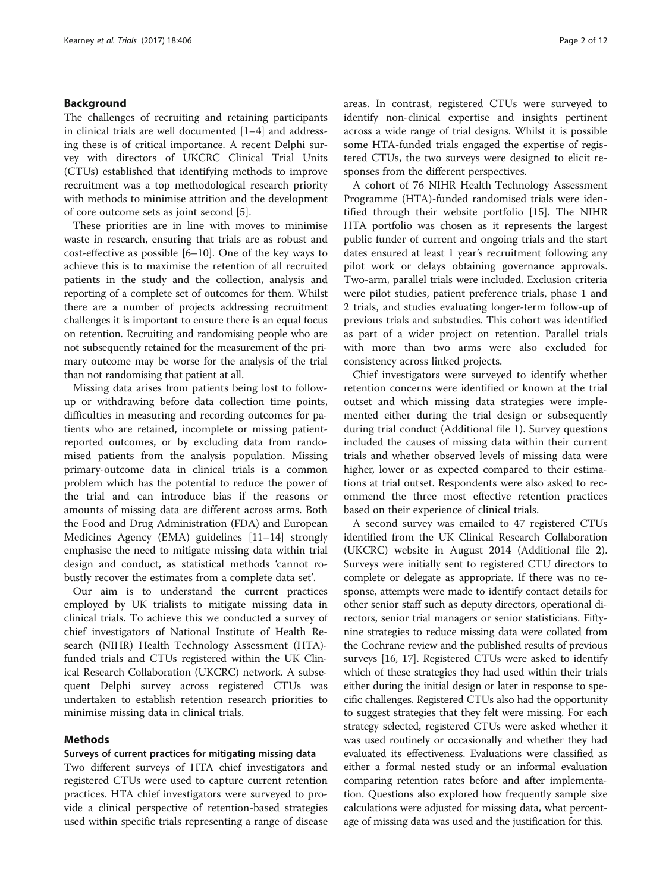# Background

The challenges of recruiting and retaining participants in clinical trials are well documented [[1](#page-10-0)–[4\]](#page-10-0) and addressing these is of critical importance. A recent Delphi survey with directors of UKCRC Clinical Trial Units (CTUs) established that identifying methods to improve recruitment was a top methodological research priority with methods to minimise attrition and the development of core outcome sets as joint second [\[5](#page-10-0)].

These priorities are in line with moves to minimise waste in research, ensuring that trials are as robust and cost-effective as possible [\[6](#page-10-0)–[10](#page-10-0)]. One of the key ways to achieve this is to maximise the retention of all recruited patients in the study and the collection, analysis and reporting of a complete set of outcomes for them. Whilst there are a number of projects addressing recruitment challenges it is important to ensure there is an equal focus on retention. Recruiting and randomising people who are not subsequently retained for the measurement of the primary outcome may be worse for the analysis of the trial than not randomising that patient at all.

Missing data arises from patients being lost to followup or withdrawing before data collection time points, difficulties in measuring and recording outcomes for patients who are retained, incomplete or missing patientreported outcomes, or by excluding data from randomised patients from the analysis population. Missing primary-outcome data in clinical trials is a common problem which has the potential to reduce the power of the trial and can introduce bias if the reasons or amounts of missing data are different across arms. Both the Food and Drug Administration (FDA) and European Medicines Agency (EMA) guidelines [\[11](#page-10-0)–[14\]](#page-10-0) strongly emphasise the need to mitigate missing data within trial design and conduct, as statistical methods 'cannot robustly recover the estimates from a complete data set'.

Our aim is to understand the current practices employed by UK trialists to mitigate missing data in clinical trials. To achieve this we conducted a survey of chief investigators of National Institute of Health Research (NIHR) Health Technology Assessment (HTA) funded trials and CTUs registered within the UK Clinical Research Collaboration (UKCRC) network. A subsequent Delphi survey across registered CTUs was undertaken to establish retention research priorities to minimise missing data in clinical trials.

# Methods

# Surveys of current practices for mitigating missing data

Two different surveys of HTA chief investigators and registered CTUs were used to capture current retention practices. HTA chief investigators were surveyed to provide a clinical perspective of retention-based strategies used within specific trials representing a range of disease areas. In contrast, registered CTUs were surveyed to identify non-clinical expertise and insights pertinent across a wide range of trial designs. Whilst it is possible some HTA-funded trials engaged the expertise of registered CTUs, the two surveys were designed to elicit responses from the different perspectives.

A cohort of 76 NIHR Health Technology Assessment Programme (HTA)-funded randomised trials were identified through their website portfolio [\[15](#page-10-0)]. The NIHR HTA portfolio was chosen as it represents the largest public funder of current and ongoing trials and the start dates ensured at least 1 year's recruitment following any pilot work or delays obtaining governance approvals. Two-arm, parallel trials were included. Exclusion criteria were pilot studies, patient preference trials, phase 1 and 2 trials, and studies evaluating longer-term follow-up of previous trials and substudies. This cohort was identified as part of a wider project on retention. Parallel trials with more than two arms were also excluded for consistency across linked projects.

Chief investigators were surveyed to identify whether retention concerns were identified or known at the trial outset and which missing data strategies were implemented either during the trial design or subsequently during trial conduct (Additional file [1\)](#page-10-0). Survey questions included the causes of missing data within their current trials and whether observed levels of missing data were higher, lower or as expected compared to their estimations at trial outset. Respondents were also asked to recommend the three most effective retention practices based on their experience of clinical trials.

A second survey was emailed to 47 registered CTUs identified from the UK Clinical Research Collaboration (UKCRC) website in August 2014 (Additional file [2](#page-10-0)). Surveys were initially sent to registered CTU directors to complete or delegate as appropriate. If there was no response, attempts were made to identify contact details for other senior staff such as deputy directors, operational directors, senior trial managers or senior statisticians. Fiftynine strategies to reduce missing data were collated from the Cochrane review and the published results of previous surveys [\[16,](#page-10-0) [17](#page-11-0)]. Registered CTUs were asked to identify which of these strategies they had used within their trials either during the initial design or later in response to specific challenges. Registered CTUs also had the opportunity to suggest strategies that they felt were missing. For each strategy selected, registered CTUs were asked whether it was used routinely or occasionally and whether they had evaluated its effectiveness. Evaluations were classified as either a formal nested study or an informal evaluation comparing retention rates before and after implementation. Questions also explored how frequently sample size calculations were adjusted for missing data, what percentage of missing data was used and the justification for this.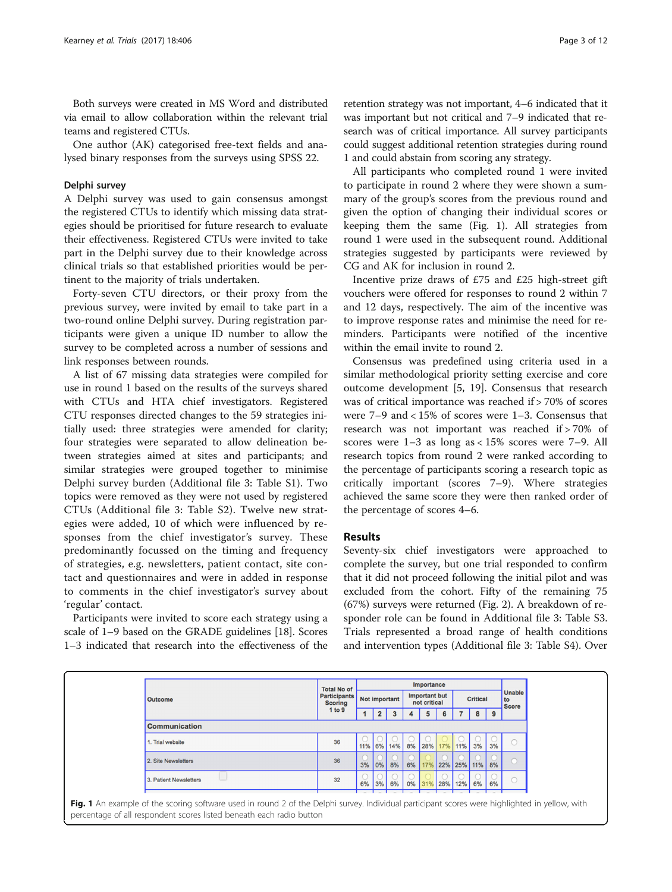Both surveys were created in MS Word and distributed via email to allow collaboration within the relevant trial teams and registered CTUs.

One author (AK) categorised free-text fields and analysed binary responses from the surveys using SPSS 22.

# Delphi survey

A Delphi survey was used to gain consensus amongst the registered CTUs to identify which missing data strategies should be prioritised for future research to evaluate their effectiveness. Registered CTUs were invited to take part in the Delphi survey due to their knowledge across clinical trials so that established priorities would be pertinent to the majority of trials undertaken.

Forty-seven CTU directors, or their proxy from the previous survey, were invited by email to take part in a two-round online Delphi survey. During registration participants were given a unique ID number to allow the survey to be completed across a number of sessions and link responses between rounds.

A list of 67 missing data strategies were compiled for use in round 1 based on the results of the surveys shared with CTUs and HTA chief investigators. Registered CTU responses directed changes to the 59 strategies initially used: three strategies were amended for clarity; four strategies were separated to allow delineation between strategies aimed at sites and participants; and similar strategies were grouped together to minimise Delphi survey burden (Additional file [3](#page-10-0): Table S1). Two topics were removed as they were not used by registered CTUs (Additional file [3:](#page-10-0) Table S2). Twelve new strategies were added, 10 of which were influenced by responses from the chief investigator's survey. These predominantly focussed on the timing and frequency of strategies, e.g. newsletters, patient contact, site contact and questionnaires and were in added in response to comments in the chief investigator's survey about 'regular' contact.

Participants were invited to score each strategy using a scale of 1–9 based on the GRADE guidelines [[18](#page-11-0)]. Scores 1–3 indicated that research into the effectiveness of the retention strategy was not important, 4–6 indicated that it was important but not critical and 7–9 indicated that research was of critical importance. All survey participants could suggest additional retention strategies during round 1 and could abstain from scoring any strategy.

All participants who completed round 1 were invited to participate in round 2 where they were shown a summary of the group's scores from the previous round and given the option of changing their individual scores or keeping them the same (Fig. 1). All strategies from round 1 were used in the subsequent round. Additional strategies suggested by participants were reviewed by CG and AK for inclusion in round 2.

Incentive prize draws of £75 and £25 high-street gift vouchers were offered for responses to round 2 within 7 and 12 days, respectively. The aim of the incentive was to improve response rates and minimise the need for reminders. Participants were notified of the incentive within the email invite to round 2.

Consensus was predefined using criteria used in a similar methodological priority setting exercise and core outcome development [[5,](#page-10-0) [19](#page-11-0)]. Consensus that research was of critical importance was reached if > 70% of scores were 7–9 and < 15% of scores were 1–3. Consensus that research was not important was reached if > 70% of scores were 1–3 as long as < 15% scores were 7–9. All research topics from round 2 were ranked according to the percentage of participants scoring a research topic as critically important (scores 7–9). Where strategies achieved the same score they were then ranked order of the percentage of scores 4–6.

# Results

Seventy-six chief investigators were approached to complete the survey, but one trial responded to confirm that it did not proceed following the initial pilot and was excluded from the cohort. Fifty of the remaining 75 (67%) surveys were returned (Fig. [2\)](#page-3-0). A breakdown of responder role can be found in Additional file [3:](#page-10-0) Table S3. Trials represented a broad range of health conditions and intervention types (Additional file [3:](#page-10-0) Table S4). Over

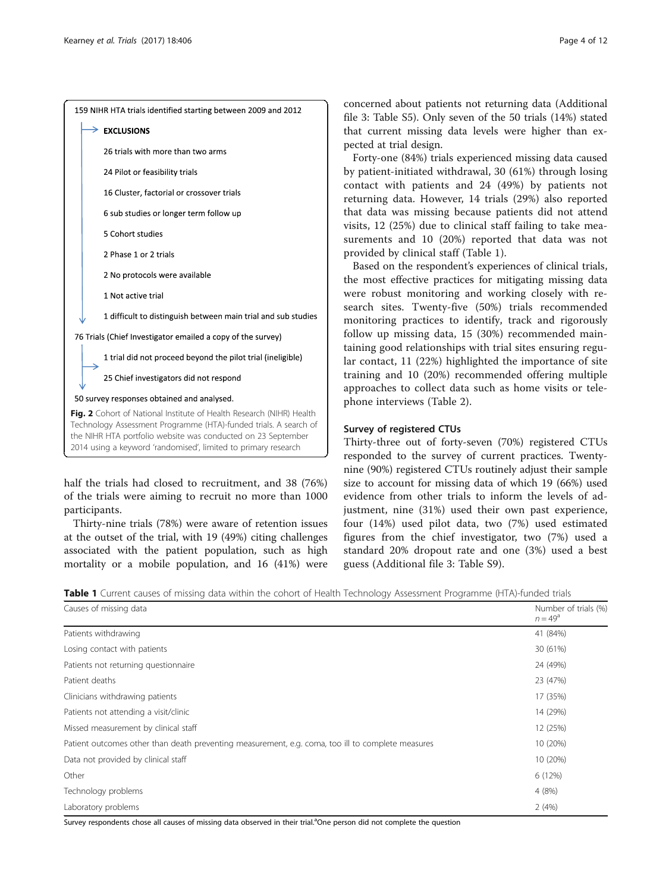<span id="page-3-0"></span>

half the trials had closed to recruitment, and 38 (76%) of the trials were aiming to recruit no more than 1000 participants.

Thirty-nine trials (78%) were aware of retention issues at the outset of the trial, with 19 (49%) citing challenges associated with the patient population, such as high mortality or a mobile population, and 16 (41%) were concerned about patients not returning data (Additional file [3](#page-10-0): Table S5). Only seven of the 50 trials (14%) stated that current missing data levels were higher than expected at trial design.

Forty-one (84%) trials experienced missing data caused by patient-initiated withdrawal, 30 (61%) through losing contact with patients and 24 (49%) by patients not returning data. However, 14 trials (29%) also reported that data was missing because patients did not attend visits, 12 (25%) due to clinical staff failing to take measurements and 10 (20%) reported that data was not provided by clinical staff (Table 1).

Based on the respondent's experiences of clinical trials, the most effective practices for mitigating missing data were robust monitoring and working closely with research sites. Twenty-five (50%) trials recommended monitoring practices to identify, track and rigorously follow up missing data, 15 (30%) recommended maintaining good relationships with trial sites ensuring regular contact, 11 (22%) highlighted the importance of site training and 10 (20%) recommended offering multiple approaches to collect data such as home visits or telephone interviews (Table [2\)](#page-4-0).

# Survey of registered CTUs

Thirty-three out of forty-seven (70%) registered CTUs responded to the survey of current practices. Twentynine (90%) registered CTUs routinely adjust their sample size to account for missing data of which 19 (66%) used evidence from other trials to inform the levels of adjustment, nine (31%) used their own past experience, four (14%) used pilot data, two (7%) used estimated figures from the chief investigator, two (7%) used a standard 20% dropout rate and one (3%) used a best guess (Additional file [3](#page-10-0): Table S9).

Table 1 Current causes of missing data within the cohort of Health Technology Assessment Programme (HTA)-funded trials

| Causes of missing data                                                                            | Number of trials (%)<br>$n = 49^a$ |
|---------------------------------------------------------------------------------------------------|------------------------------------|
| Patients withdrawing                                                                              | 41 (84%)                           |
| Losing contact with patients                                                                      | 30 (61%)                           |
| Patients not returning questionnaire                                                              | 24 (49%)                           |
| Patient deaths                                                                                    | 23 (47%)                           |
| Clinicians withdrawing patients                                                                   | 17 (35%)                           |
| Patients not attending a visit/clinic                                                             | 14 (29%)                           |
| Missed measurement by clinical staff                                                              | 12 (25%)                           |
| Patient outcomes other than death preventing measurement, e.g. coma, too ill to complete measures | 10 (20%)                           |
| Data not provided by clinical staff                                                               | 10 (20%)                           |
| Other                                                                                             | 6 (12%)                            |
| Technology problems                                                                               | 4(8%)                              |
| Laboratory problems                                                                               | 2(4%)                              |

Survey respondents chose all causes of missing data observed in their trial.<sup>a</sup>One person did not complete the question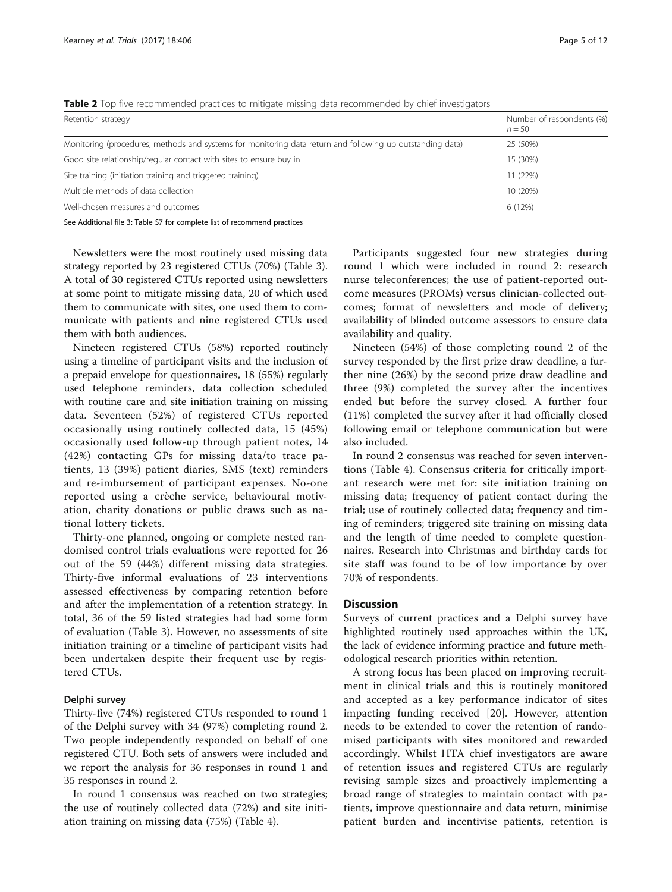| Retention strategy                                                                                        | Number of respondents (%)<br>$n = 50$ |
|-----------------------------------------------------------------------------------------------------------|---------------------------------------|
| Monitoring (procedures, methods and systems for monitoring data return and following up outstanding data) | 25 (50%)                              |
| Good site relationship/regular contact with sites to ensure buy in                                        | 15 (30%)                              |
| Site training (initiation training and triggered training)                                                | 11(22%)                               |
| Multiple methods of data collection                                                                       | 10 (20%)                              |
| Well-chosen measures and outcomes                                                                         | 6(12%)                                |

<span id="page-4-0"></span>Table 2 Top five recommended practices to mitigate missing data recommended by chief investigators

See Additional file [3](#page-10-0): Table S7 for complete list of recommend practices

Newsletters were the most routinely used missing data strategy reported by 23 registered CTUs (70%) (Table [3](#page-5-0)). A total of 30 registered CTUs reported using newsletters at some point to mitigate missing data, 20 of which used them to communicate with sites, one used them to communicate with patients and nine registered CTUs used them with both audiences.

Nineteen registered CTUs (58%) reported routinely using a timeline of participant visits and the inclusion of a prepaid envelope for questionnaires, 18 (55%) regularly used telephone reminders, data collection scheduled with routine care and site initiation training on missing data. Seventeen (52%) of registered CTUs reported occasionally using routinely collected data, 15 (45%) occasionally used follow-up through patient notes, 14 (42%) contacting GPs for missing data/to trace patients, 13 (39%) patient diaries, SMS (text) reminders and re-imbursement of participant expenses. No-one reported using a crèche service, behavioural motivation, charity donations or public draws such as national lottery tickets.

Thirty-one planned, ongoing or complete nested randomised control trials evaluations were reported for 26 out of the 59 (44%) different missing data strategies. Thirty-five informal evaluations of 23 interventions assessed effectiveness by comparing retention before and after the implementation of a retention strategy. In total, 36 of the 59 listed strategies had had some form of evaluation (Table [3\)](#page-5-0). However, no assessments of site initiation training or a timeline of participant visits had been undertaken despite their frequent use by registered CTUs.

# Delphi survey

Thirty-five (74%) registered CTUs responded to round 1 of the Delphi survey with 34 (97%) completing round 2. Two people independently responded on behalf of one registered CTU. Both sets of answers were included and we report the analysis for 36 responses in round 1 and 35 responses in round 2.

In round 1 consensus was reached on two strategies; the use of routinely collected data (72%) and site initiation training on missing data (75%) (Table [4\)](#page-7-0).

Participants suggested four new strategies during round 1 which were included in round 2: research nurse teleconferences; the use of patient-reported outcome measures (PROMs) versus clinician-collected outcomes; format of newsletters and mode of delivery; availability of blinded outcome assessors to ensure data availability and quality.

Nineteen (54%) of those completing round 2 of the survey responded by the first prize draw deadline, a further nine (26%) by the second prize draw deadline and three (9%) completed the survey after the incentives ended but before the survey closed. A further four (11%) completed the survey after it had officially closed following email or telephone communication but were also included.

In round 2 consensus was reached for seven interventions (Table [4\)](#page-7-0). Consensus criteria for critically important research were met for: site initiation training on missing data; frequency of patient contact during the trial; use of routinely collected data; frequency and timing of reminders; triggered site training on missing data and the length of time needed to complete questionnaires. Research into Christmas and birthday cards for site staff was found to be of low importance by over 70% of respondents.

# **Discussion**

Surveys of current practices and a Delphi survey have highlighted routinely used approaches within the UK, the lack of evidence informing practice and future methodological research priorities within retention.

A strong focus has been placed on improving recruitment in clinical trials and this is routinely monitored and accepted as a key performance indicator of sites impacting funding received [\[20](#page-11-0)]. However, attention needs to be extended to cover the retention of randomised participants with sites monitored and rewarded accordingly. Whilst HTA chief investigators are aware of retention issues and registered CTUs are regularly revising sample sizes and proactively implementing a broad range of strategies to maintain contact with patients, improve questionnaire and data return, minimise patient burden and incentivise patients, retention is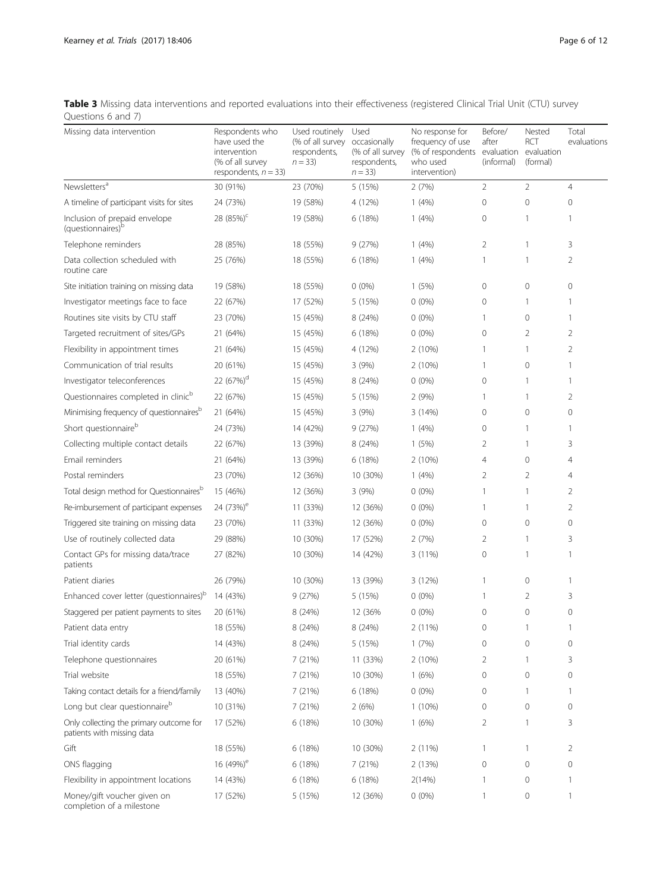<span id="page-5-0"></span>Table 3 Missing data interventions and reported evaluations into their effectiveness (registered Clinical Trial Unit (CTU) survey Questions 6 and 7)

| Missing data intervention                                             | Respondents who<br>have used the<br>intervention<br>(% of all survey<br>respondents, $n = 33$ ) | Used routinely<br>(% of all survey)<br>respondents,<br>$n = 33$ | Used<br>occasionally<br>(% of all survey)<br>respondents,<br>$n = 33$ | No response for<br>frequency of use<br>(% of respondents)<br>who used<br>intervention) | Before/<br>after<br>evaluation<br>(informal) | Nested<br>RCT<br>evaluation<br>(formal) | Total<br>evaluations |  |
|-----------------------------------------------------------------------|-------------------------------------------------------------------------------------------------|-----------------------------------------------------------------|-----------------------------------------------------------------------|----------------------------------------------------------------------------------------|----------------------------------------------|-----------------------------------------|----------------------|--|
| Newsletters <sup>a</sup>                                              | 30 (91%)                                                                                        | 23 (70%)                                                        | 5 (15%)                                                               | 2(7%)                                                                                  | $\overline{2}$                               | $\overline{2}$                          | $\overline{4}$       |  |
| A timeline of participant visits for sites                            | 24 (73%)                                                                                        | 19 (58%)                                                        | 4 (12%)                                                               | 1(4%)                                                                                  | 0                                            | 0                                       | 0                    |  |
| Inclusion of prepaid envelope<br>(questionnaires) <sup>b</sup>        | 28 (85%) <sup>c</sup>                                                                           | 19 (58%)                                                        | 6 (18%)                                                               | 1(4%)                                                                                  | 0                                            | 1                                       | 1                    |  |
| Telephone reminders                                                   | 28 (85%)                                                                                        | 18 (55%)                                                        | 9(27%)                                                                | 1(4%)                                                                                  | 2                                            | 1                                       | 3                    |  |
| Data collection scheduled with<br>routine care                        | 25 (76%)                                                                                        | 18 (55%)                                                        | 6 (18%)                                                               | 1(4%)                                                                                  | $\mathbf{1}$                                 | $\mathbf{1}$                            | $\overline{2}$       |  |
| Site initiation training on missing data                              | 19 (58%)                                                                                        | 18 (55%)                                                        | $0(0\%)$                                                              | 1(5%)                                                                                  | 0                                            | $\mathbf 0$                             | 0                    |  |
| Investigator meetings face to face                                    | 22 (67%)                                                                                        | 17 (52%)                                                        | 5 (15%)                                                               | $0(0\%)$                                                                               | 0                                            | 1                                       | 1                    |  |
| Routines site visits by CTU staff                                     | 23 (70%)                                                                                        | 15 (45%)                                                        | 8 (24%)                                                               | $0(0\%)$                                                                               | $\mathbf{1}$                                 | $\mathbf 0$                             | 1                    |  |
| Targeted recruitment of sites/GPs                                     | 21 (64%)                                                                                        | 15 (45%)                                                        | 6 (18%)                                                               | $0(0\%)$                                                                               | 0                                            | $\overline{2}$                          | 2                    |  |
| Flexibility in appointment times                                      | 21 (64%)                                                                                        | 15 (45%)                                                        | 4 (12%)                                                               | 2 (10%)                                                                                | 1                                            | 1                                       | 2                    |  |
| Communication of trial results                                        | 20 (61%)                                                                                        | 15 (45%)                                                        | 3(9%)                                                                 | 2 (10%)                                                                                | $\mathbf{1}$                                 | $\mathbf 0$                             | 1                    |  |
| Investigator teleconferences                                          | 22 (67%) <sup>d</sup>                                                                           | 15 (45%)                                                        | 8 (24%)                                                               | $0(0\%)$                                                                               | 0                                            | 1                                       | 1                    |  |
| Questionnaires completed in clinic <sup>b</sup>                       | 22 (67%)                                                                                        | 15 (45%)                                                        | 5 (15%)                                                               | 2(9%)                                                                                  | 1                                            | 1                                       | 2                    |  |
| Minimising frequency of questionnaires <sup>b</sup>                   | 21 (64%)                                                                                        | 15 (45%)                                                        | 3(9%)                                                                 | 3(14%)                                                                                 | 0                                            | $\mathbf 0$                             | 0                    |  |
| Short questionnaire <sup>b</sup>                                      | 24 (73%)                                                                                        | 14 (42%)                                                        | 9(27%)                                                                | 1(4%)                                                                                  | 0                                            | 1                                       | 1                    |  |
| Collecting multiple contact details                                   | 22 (67%)                                                                                        | 13 (39%)                                                        | 8 (24%)                                                               | 1(5%)                                                                                  | $\overline{2}$                               | 1                                       | 3                    |  |
| Email reminders                                                       | 21 (64%)                                                                                        | 13 (39%)                                                        | 6 (18%)                                                               | 2 (10%)                                                                                | 4                                            | $\mathbf 0$                             | 4                    |  |
| Postal reminders                                                      | 23 (70%)                                                                                        | 12 (36%)                                                        | 10 (30%)                                                              | 1(4%)                                                                                  | 2                                            | $\overline{2}$                          | 4                    |  |
| Total design method for Questionnaires <sup>b</sup>                   | 15 (46%)                                                                                        | 12 (36%)                                                        | 3(9%)                                                                 | $0(0\%)$                                                                               | 1                                            | 1                                       | 2                    |  |
| Re-imbursement of participant expenses                                | 24 $(73%)^e$                                                                                    | 11 (33%)                                                        | 12 (36%)                                                              | $0(0\%)$                                                                               | 1                                            | 1                                       | 2                    |  |
| Triggered site training on missing data                               | 23 (70%)                                                                                        | 11 (33%)                                                        | 12 (36%)                                                              | $0(0\%)$                                                                               | 0                                            | $\mathbf 0$                             | 0                    |  |
| Use of routinely collected data                                       | 29 (88%)                                                                                        | 10 (30%)                                                        | 17 (52%)                                                              | 2(7%)                                                                                  | 2                                            | 1                                       | 3                    |  |
| Contact GPs for missing data/trace<br>patients                        | 27 (82%)                                                                                        | 10 (30%)                                                        | 14 (42%)                                                              | 3 (11%)                                                                                | 0                                            | 1                                       | 1                    |  |
| Patient diaries                                                       | 26 (79%)                                                                                        | 10 (30%)                                                        | 13 (39%)                                                              | 3 (12%)                                                                                | $\mathbf{1}$                                 | $\mathbf 0$                             | 1                    |  |
| Enhanced cover letter (questionnaires) <sup>b</sup>                   | 14 (43%)                                                                                        | 9(27%)                                                          | 5 (15%)                                                               | $0(0\%)$                                                                               | 1                                            | $\overline{2}$                          | 3                    |  |
| Staggered per patient payments to sites                               | 20 (61%)                                                                                        | 8 (24%)                                                         | 12 (36%                                                               | $0(0\%)$                                                                               | 0                                            | $\mathbf{0}$                            | $\mathbf 0$          |  |
| Patient data entry                                                    | 18 (55%)                                                                                        | 8 (24%)                                                         | 8 (24%)                                                               | 2 (11%)                                                                                | 0                                            |                                         |                      |  |
| Trial identity cards                                                  | 14 (43%)                                                                                        | 8 (24%)                                                         | 5 (15%)                                                               | 1(7%)                                                                                  | 0                                            | 0                                       | 0                    |  |
| Telephone questionnaires                                              | 20 (61%)                                                                                        | 7(21%)                                                          | 11 (33%)                                                              | 2(10%)                                                                                 | 2                                            | 1                                       | 3                    |  |
| Trial website                                                         | 18 (55%)                                                                                        | 7 (21%)                                                         | 10 (30%)                                                              | 1(6%)                                                                                  | 0                                            | $\mathbf 0$                             | 0                    |  |
| Taking contact details for a friend/family                            | 13 (40%)                                                                                        | 7 (21%)                                                         | 6 (18%)                                                               | $0(0\%)$                                                                               | 0                                            | 1                                       | 1                    |  |
| Long but clear questionnaireb                                         | 10 (31%)                                                                                        | 7 (21%)                                                         | 2(6%)                                                                 | $1(10\%)$                                                                              | 0                                            | 0                                       | 0                    |  |
| Only collecting the primary outcome for<br>patients with missing data | 17 (52%)                                                                                        | 6 (18%)                                                         | 10 (30%)                                                              | 1(6%)                                                                                  | 2                                            | 1                                       | 3                    |  |
| Gift                                                                  | 18 (55%)                                                                                        | 6 (18%)                                                         | 10 (30%)                                                              | 2 (11%)                                                                                | 1                                            | 1                                       | 2                    |  |
| ONS flagging                                                          | 16 (49%) <sup>e</sup>                                                                           | 6 (18%)                                                         | 7 (21%)                                                               | 2 (13%)                                                                                | 0                                            | 0                                       | 0                    |  |
| Flexibility in appointment locations                                  | 14 (43%)                                                                                        | 6 (18%)                                                         | 6 (18%)                                                               | 2(14%)                                                                                 | 1                                            | 0                                       | 1                    |  |
| Money/gift voucher given on<br>completion of a milestone              | 17 (52%)                                                                                        | 5 (15%)                                                         | 12 (36%)                                                              | $0(0\%)$                                                                               | $\mathbf{1}$                                 | 0                                       | 1                    |  |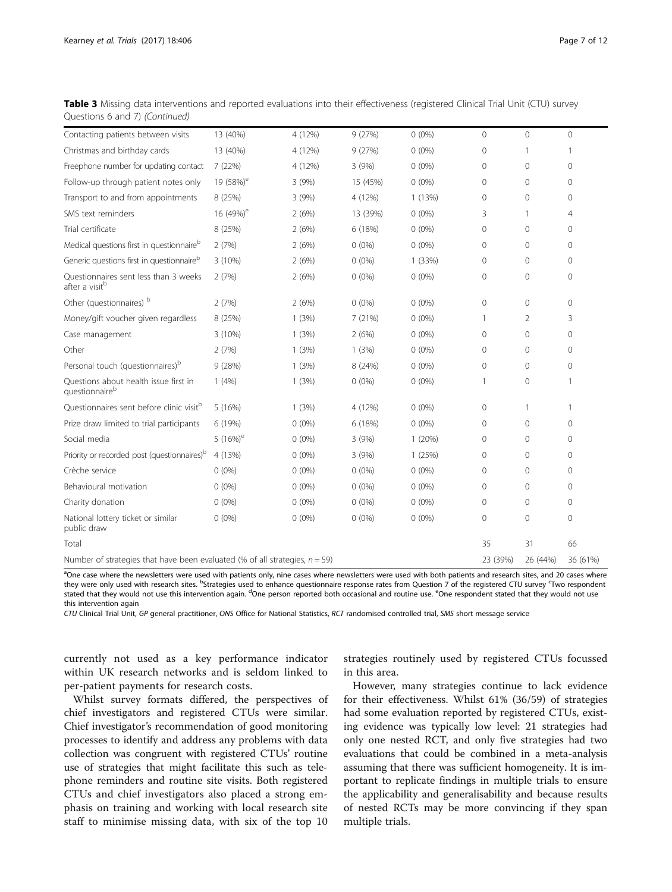Table 3 Missing data interventions and reported evaluations into their effectiveness (registered Clinical Trial Unit (CTU) survey Questions 6 and 7) (Continued)

| 13 (40%)<br>9(27%)<br>$0(0\%)$<br>0<br>$\mathbf{0}$<br>0<br>Contacting patients between visits<br>4 (12%)<br>9 (27%)<br>$0(0\%)$<br>Christmas and birthday cards<br>13 (40%)<br>4 (12%)<br>0<br>1<br>3 (9%)<br>Freephone number for updating contact<br>7 (22%)<br>4 (12%)<br>$0(0\%)$<br>$\Omega$<br>$\mathbf{0}$<br>0<br>19 (58%) <sup>e</sup><br>Follow-up through patient notes only<br>3(9%)<br>15 (45%)<br>$0(0\%)$<br>0<br>$\mathbf{0}$<br>0<br>Transport to and from appointments<br>8 (25%)<br>3(9%)<br>4 (12%)<br>1(13%)<br>$\circ$<br>$\mathbf{0}$<br>$\Omega$<br>16 (49%) <sup>e</sup><br>SMS text reminders<br>2(6%)<br>13 (39%)<br>$0(0\%)$<br>3<br>4<br>-1<br>Trial certificate<br>8 (25%)<br>2(6%)<br>6 (18%)<br>$0(0\%)$<br>0<br>$\mathbf{0}$<br>0<br>Medical questions first in questionnaire <sup>b</sup><br>2(7%)<br>$0(0\%)$<br>$0(0\%)$<br>2(6%)<br>$\circ$<br>$\Omega$<br>$\Omega$<br>Generic questions first in questionnaire <sup>b</sup><br>3 (10%)<br>$0(0\%)$<br>2(6%)<br>1(33%)<br>$\circ$<br>$\mathbf{0}$<br>0<br>Questionnaires sent less than 3 weeks<br>2(7%)<br>$0(0\%)$<br>$0(0\%)$<br>$\mathbf{0}$<br>0<br>2(6%)<br>0<br>after a visitb<br>Other (questionnaires) b<br>2(7%)<br>2(6%)<br>$0(0\%)$<br>$0(0\%)$<br>$\mathbf{0}$<br>0<br>$\circ$<br>Money/gift voucher given regardless<br>$\overline{2}$<br>3<br>8 (25%)<br>1(3%)<br>7(21%)<br>$0(0\%)$<br>1<br>3 (10%)<br>2(6%)<br>$0(0\%)$<br>$\Omega$<br>0<br>Case management<br>1(3%)<br>$\Omega$<br>Other<br>2(7%)<br>1(3%)<br>1(3%)<br>$0(0\%)$<br>$\circ$<br>$\mathbf{0}$<br>0<br>Personal touch (questionnaires) <sup>b</sup><br>9(28%)<br>$0(0\%)$<br>$\circ$<br>$\Omega$<br>$\Omega$<br>1(3%)<br>8 (24%)<br>Questions about health issue first in<br>$0(0\%)$<br>1(4%)<br>1(3%)<br>$0(0\%)$<br>$\mathbf{0}$<br>1<br>questionnaire <sup>b</sup><br>Questionnaires sent before clinic visit <sup>b</sup><br>5 (16%)<br>1(3%)<br>4 (12%)<br>$0(0\%)$<br>$\circ$<br>$\overline{1}$<br>1<br>Prize draw limited to trial participants<br>6 (19%)<br>$0(0\%)$<br>6 (18%)<br>$0(0\%)$<br>$\Omega$<br>$\Omega$<br>$\Omega$<br>5 $(16%)^e$<br>Social media<br>3(9%)<br>1(20%)<br>$\Omega$<br>$\Omega$<br>$\Omega$<br>$0(0\%)$<br>Priority or recorded post (questionnaires) <sup>b</sup><br>4 (13%)<br>$0(0\%)$<br>3(9%)<br>1(25%)<br>$\circ$<br>$\mathbf{0}$<br>$\Omega$<br>Crèche service<br>$0(0\%)$<br>$0(0\%)$<br>$0(0\%)$<br>$0(0\%)$<br>$\mathbf{0}$<br>0<br>$\circ$<br>Behavioural motivation<br>$0(0\%)$<br>$0(0\%)$<br>$0(0\%)$<br>$0(0\%)$<br>0<br>$\mathbf{0}$<br>0<br>Charity donation<br>$0(0\%)$<br>$0(0\%)$<br>$0(0\%)$<br>$0(0\%)$<br>$\circ$<br>$\mathbf{0}$<br>0<br>National lottery ticket or similar<br>$0(0\%)$<br>$0(0\%)$<br>$\mathbf{0}$<br>$0(0\%)$<br>$0(0\%)$<br>0<br>0<br>public draw<br>31<br>Total<br>35<br>66<br>Number of strategies that have been evaluated (% of all strategies, $n = 59$ )<br>23 (39%)<br>26 (44%)<br>36 (61%) |  |  |  |  |  |
|-------------------------------------------------------------------------------------------------------------------------------------------------------------------------------------------------------------------------------------------------------------------------------------------------------------------------------------------------------------------------------------------------------------------------------------------------------------------------------------------------------------------------------------------------------------------------------------------------------------------------------------------------------------------------------------------------------------------------------------------------------------------------------------------------------------------------------------------------------------------------------------------------------------------------------------------------------------------------------------------------------------------------------------------------------------------------------------------------------------------------------------------------------------------------------------------------------------------------------------------------------------------------------------------------------------------------------------------------------------------------------------------------------------------------------------------------------------------------------------------------------------------------------------------------------------------------------------------------------------------------------------------------------------------------------------------------------------------------------------------------------------------------------------------------------------------------------------------------------------------------------------------------------------------------------------------------------------------------------------------------------------------------------------------------------------------------------------------------------------------------------------------------------------------------------------------------------------------------------------------------------------------------------------------------------------------------------------------------------------------------------------------------------------------------------------------------------------------------------------------------------------------------------------------------------------------------------------------------------------------------------------------------------------------------------------------------------------------------------------------------------------------------------------------------------------------------------------------------------------------------------------------------------------------------------------------------------|--|--|--|--|--|
|                                                                                                                                                                                                                                                                                                                                                                                                                                                                                                                                                                                                                                                                                                                                                                                                                                                                                                                                                                                                                                                                                                                                                                                                                                                                                                                                                                                                                                                                                                                                                                                                                                                                                                                                                                                                                                                                                                                                                                                                                                                                                                                                                                                                                                                                                                                                                                                                                                                                                                                                                                                                                                                                                                                                                                                                                                                                                                                                                       |  |  |  |  |  |
|                                                                                                                                                                                                                                                                                                                                                                                                                                                                                                                                                                                                                                                                                                                                                                                                                                                                                                                                                                                                                                                                                                                                                                                                                                                                                                                                                                                                                                                                                                                                                                                                                                                                                                                                                                                                                                                                                                                                                                                                                                                                                                                                                                                                                                                                                                                                                                                                                                                                                                                                                                                                                                                                                                                                                                                                                                                                                                                                                       |  |  |  |  |  |
|                                                                                                                                                                                                                                                                                                                                                                                                                                                                                                                                                                                                                                                                                                                                                                                                                                                                                                                                                                                                                                                                                                                                                                                                                                                                                                                                                                                                                                                                                                                                                                                                                                                                                                                                                                                                                                                                                                                                                                                                                                                                                                                                                                                                                                                                                                                                                                                                                                                                                                                                                                                                                                                                                                                                                                                                                                                                                                                                                       |  |  |  |  |  |
|                                                                                                                                                                                                                                                                                                                                                                                                                                                                                                                                                                                                                                                                                                                                                                                                                                                                                                                                                                                                                                                                                                                                                                                                                                                                                                                                                                                                                                                                                                                                                                                                                                                                                                                                                                                                                                                                                                                                                                                                                                                                                                                                                                                                                                                                                                                                                                                                                                                                                                                                                                                                                                                                                                                                                                                                                                                                                                                                                       |  |  |  |  |  |
|                                                                                                                                                                                                                                                                                                                                                                                                                                                                                                                                                                                                                                                                                                                                                                                                                                                                                                                                                                                                                                                                                                                                                                                                                                                                                                                                                                                                                                                                                                                                                                                                                                                                                                                                                                                                                                                                                                                                                                                                                                                                                                                                                                                                                                                                                                                                                                                                                                                                                                                                                                                                                                                                                                                                                                                                                                                                                                                                                       |  |  |  |  |  |
|                                                                                                                                                                                                                                                                                                                                                                                                                                                                                                                                                                                                                                                                                                                                                                                                                                                                                                                                                                                                                                                                                                                                                                                                                                                                                                                                                                                                                                                                                                                                                                                                                                                                                                                                                                                                                                                                                                                                                                                                                                                                                                                                                                                                                                                                                                                                                                                                                                                                                                                                                                                                                                                                                                                                                                                                                                                                                                                                                       |  |  |  |  |  |
|                                                                                                                                                                                                                                                                                                                                                                                                                                                                                                                                                                                                                                                                                                                                                                                                                                                                                                                                                                                                                                                                                                                                                                                                                                                                                                                                                                                                                                                                                                                                                                                                                                                                                                                                                                                                                                                                                                                                                                                                                                                                                                                                                                                                                                                                                                                                                                                                                                                                                                                                                                                                                                                                                                                                                                                                                                                                                                                                                       |  |  |  |  |  |
|                                                                                                                                                                                                                                                                                                                                                                                                                                                                                                                                                                                                                                                                                                                                                                                                                                                                                                                                                                                                                                                                                                                                                                                                                                                                                                                                                                                                                                                                                                                                                                                                                                                                                                                                                                                                                                                                                                                                                                                                                                                                                                                                                                                                                                                                                                                                                                                                                                                                                                                                                                                                                                                                                                                                                                                                                                                                                                                                                       |  |  |  |  |  |
|                                                                                                                                                                                                                                                                                                                                                                                                                                                                                                                                                                                                                                                                                                                                                                                                                                                                                                                                                                                                                                                                                                                                                                                                                                                                                                                                                                                                                                                                                                                                                                                                                                                                                                                                                                                                                                                                                                                                                                                                                                                                                                                                                                                                                                                                                                                                                                                                                                                                                                                                                                                                                                                                                                                                                                                                                                                                                                                                                       |  |  |  |  |  |
|                                                                                                                                                                                                                                                                                                                                                                                                                                                                                                                                                                                                                                                                                                                                                                                                                                                                                                                                                                                                                                                                                                                                                                                                                                                                                                                                                                                                                                                                                                                                                                                                                                                                                                                                                                                                                                                                                                                                                                                                                                                                                                                                                                                                                                                                                                                                                                                                                                                                                                                                                                                                                                                                                                                                                                                                                                                                                                                                                       |  |  |  |  |  |
|                                                                                                                                                                                                                                                                                                                                                                                                                                                                                                                                                                                                                                                                                                                                                                                                                                                                                                                                                                                                                                                                                                                                                                                                                                                                                                                                                                                                                                                                                                                                                                                                                                                                                                                                                                                                                                                                                                                                                                                                                                                                                                                                                                                                                                                                                                                                                                                                                                                                                                                                                                                                                                                                                                                                                                                                                                                                                                                                                       |  |  |  |  |  |
|                                                                                                                                                                                                                                                                                                                                                                                                                                                                                                                                                                                                                                                                                                                                                                                                                                                                                                                                                                                                                                                                                                                                                                                                                                                                                                                                                                                                                                                                                                                                                                                                                                                                                                                                                                                                                                                                                                                                                                                                                                                                                                                                                                                                                                                                                                                                                                                                                                                                                                                                                                                                                                                                                                                                                                                                                                                                                                                                                       |  |  |  |  |  |
|                                                                                                                                                                                                                                                                                                                                                                                                                                                                                                                                                                                                                                                                                                                                                                                                                                                                                                                                                                                                                                                                                                                                                                                                                                                                                                                                                                                                                                                                                                                                                                                                                                                                                                                                                                                                                                                                                                                                                                                                                                                                                                                                                                                                                                                                                                                                                                                                                                                                                                                                                                                                                                                                                                                                                                                                                                                                                                                                                       |  |  |  |  |  |
|                                                                                                                                                                                                                                                                                                                                                                                                                                                                                                                                                                                                                                                                                                                                                                                                                                                                                                                                                                                                                                                                                                                                                                                                                                                                                                                                                                                                                                                                                                                                                                                                                                                                                                                                                                                                                                                                                                                                                                                                                                                                                                                                                                                                                                                                                                                                                                                                                                                                                                                                                                                                                                                                                                                                                                                                                                                                                                                                                       |  |  |  |  |  |
|                                                                                                                                                                                                                                                                                                                                                                                                                                                                                                                                                                                                                                                                                                                                                                                                                                                                                                                                                                                                                                                                                                                                                                                                                                                                                                                                                                                                                                                                                                                                                                                                                                                                                                                                                                                                                                                                                                                                                                                                                                                                                                                                                                                                                                                                                                                                                                                                                                                                                                                                                                                                                                                                                                                                                                                                                                                                                                                                                       |  |  |  |  |  |
|                                                                                                                                                                                                                                                                                                                                                                                                                                                                                                                                                                                                                                                                                                                                                                                                                                                                                                                                                                                                                                                                                                                                                                                                                                                                                                                                                                                                                                                                                                                                                                                                                                                                                                                                                                                                                                                                                                                                                                                                                                                                                                                                                                                                                                                                                                                                                                                                                                                                                                                                                                                                                                                                                                                                                                                                                                                                                                                                                       |  |  |  |  |  |
|                                                                                                                                                                                                                                                                                                                                                                                                                                                                                                                                                                                                                                                                                                                                                                                                                                                                                                                                                                                                                                                                                                                                                                                                                                                                                                                                                                                                                                                                                                                                                                                                                                                                                                                                                                                                                                                                                                                                                                                                                                                                                                                                                                                                                                                                                                                                                                                                                                                                                                                                                                                                                                                                                                                                                                                                                                                                                                                                                       |  |  |  |  |  |
|                                                                                                                                                                                                                                                                                                                                                                                                                                                                                                                                                                                                                                                                                                                                                                                                                                                                                                                                                                                                                                                                                                                                                                                                                                                                                                                                                                                                                                                                                                                                                                                                                                                                                                                                                                                                                                                                                                                                                                                                                                                                                                                                                                                                                                                                                                                                                                                                                                                                                                                                                                                                                                                                                                                                                                                                                                                                                                                                                       |  |  |  |  |  |
|                                                                                                                                                                                                                                                                                                                                                                                                                                                                                                                                                                                                                                                                                                                                                                                                                                                                                                                                                                                                                                                                                                                                                                                                                                                                                                                                                                                                                                                                                                                                                                                                                                                                                                                                                                                                                                                                                                                                                                                                                                                                                                                                                                                                                                                                                                                                                                                                                                                                                                                                                                                                                                                                                                                                                                                                                                                                                                                                                       |  |  |  |  |  |
|                                                                                                                                                                                                                                                                                                                                                                                                                                                                                                                                                                                                                                                                                                                                                                                                                                                                                                                                                                                                                                                                                                                                                                                                                                                                                                                                                                                                                                                                                                                                                                                                                                                                                                                                                                                                                                                                                                                                                                                                                                                                                                                                                                                                                                                                                                                                                                                                                                                                                                                                                                                                                                                                                                                                                                                                                                                                                                                                                       |  |  |  |  |  |
|                                                                                                                                                                                                                                                                                                                                                                                                                                                                                                                                                                                                                                                                                                                                                                                                                                                                                                                                                                                                                                                                                                                                                                                                                                                                                                                                                                                                                                                                                                                                                                                                                                                                                                                                                                                                                                                                                                                                                                                                                                                                                                                                                                                                                                                                                                                                                                                                                                                                                                                                                                                                                                                                                                                                                                                                                                                                                                                                                       |  |  |  |  |  |
|                                                                                                                                                                                                                                                                                                                                                                                                                                                                                                                                                                                                                                                                                                                                                                                                                                                                                                                                                                                                                                                                                                                                                                                                                                                                                                                                                                                                                                                                                                                                                                                                                                                                                                                                                                                                                                                                                                                                                                                                                                                                                                                                                                                                                                                                                                                                                                                                                                                                                                                                                                                                                                                                                                                                                                                                                                                                                                                                                       |  |  |  |  |  |
|                                                                                                                                                                                                                                                                                                                                                                                                                                                                                                                                                                                                                                                                                                                                                                                                                                                                                                                                                                                                                                                                                                                                                                                                                                                                                                                                                                                                                                                                                                                                                                                                                                                                                                                                                                                                                                                                                                                                                                                                                                                                                                                                                                                                                                                                                                                                                                                                                                                                                                                                                                                                                                                                                                                                                                                                                                                                                                                                                       |  |  |  |  |  |
|                                                                                                                                                                                                                                                                                                                                                                                                                                                                                                                                                                                                                                                                                                                                                                                                                                                                                                                                                                                                                                                                                                                                                                                                                                                                                                                                                                                                                                                                                                                                                                                                                                                                                                                                                                                                                                                                                                                                                                                                                                                                                                                                                                                                                                                                                                                                                                                                                                                                                                                                                                                                                                                                                                                                                                                                                                                                                                                                                       |  |  |  |  |  |
|                                                                                                                                                                                                                                                                                                                                                                                                                                                                                                                                                                                                                                                                                                                                                                                                                                                                                                                                                                                                                                                                                                                                                                                                                                                                                                                                                                                                                                                                                                                                                                                                                                                                                                                                                                                                                                                                                                                                                                                                                                                                                                                                                                                                                                                                                                                                                                                                                                                                                                                                                                                                                                                                                                                                                                                                                                                                                                                                                       |  |  |  |  |  |
|                                                                                                                                                                                                                                                                                                                                                                                                                                                                                                                                                                                                                                                                                                                                                                                                                                                                                                                                                                                                                                                                                                                                                                                                                                                                                                                                                                                                                                                                                                                                                                                                                                                                                                                                                                                                                                                                                                                                                                                                                                                                                                                                                                                                                                                                                                                                                                                                                                                                                                                                                                                                                                                                                                                                                                                                                                                                                                                                                       |  |  |  |  |  |

<sup>a</sup>One case where the newsletters were used with patients only, nine cases where newsletters were used with both patients and research sites, and 20 cases where they were only used with research sites. <sup>b</sup>Strategies used to enhance questionnaire response rates from Question 7 of the registered CTU survey <sup>c</sup>Two respondent stated that they would not use this intervention again. <sup>d</sup>One person reported both occasional and routine use. <sup>e</sup>One respondent stated that they would not use this intervention again

CTU Clinical Trial Unit, GP general practitioner, ONS Office for National Statistics, RCT randomised controlled trial, SMS short message service

currently not used as a key performance indicator within UK research networks and is seldom linked to per-patient payments for research costs.

Whilst survey formats differed, the perspectives of chief investigators and registered CTUs were similar. Chief investigator's recommendation of good monitoring processes to identify and address any problems with data collection was congruent with registered CTUs' routine use of strategies that might facilitate this such as telephone reminders and routine site visits. Both registered CTUs and chief investigators also placed a strong emphasis on training and working with local research site staff to minimise missing data, with six of the top 10

strategies routinely used by registered CTUs focussed in this area.

However, many strategies continue to lack evidence for their effectiveness. Whilst 61% (36/59) of strategies had some evaluation reported by registered CTUs, existing evidence was typically low level: 21 strategies had only one nested RCT, and only five strategies had two evaluations that could be combined in a meta-analysis assuming that there was sufficient homogeneity. It is important to replicate findings in multiple trials to ensure the applicability and generalisability and because results of nested RCTs may be more convincing if they span multiple trials.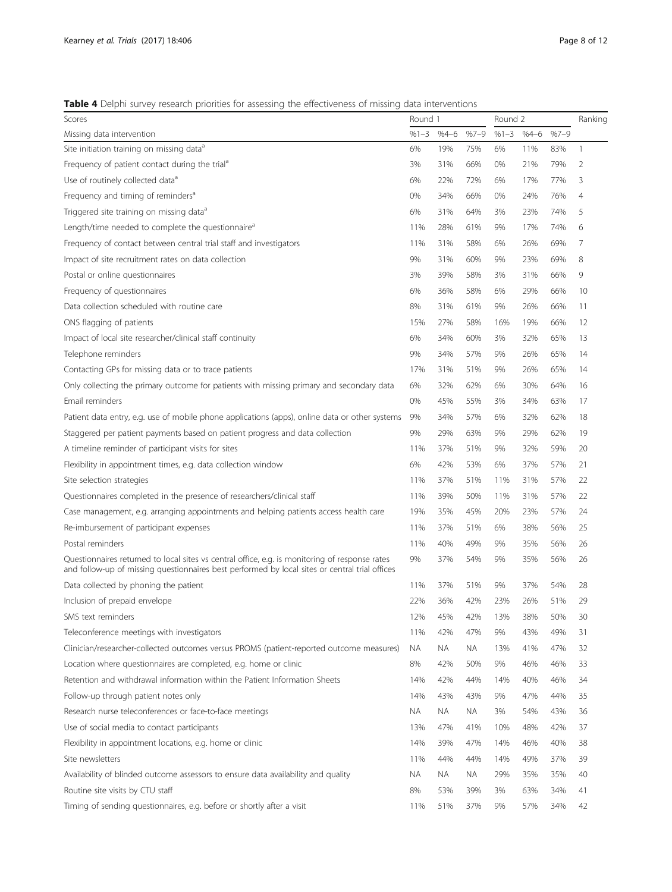<span id="page-7-0"></span>Table 4 Delphi survey research priorities for assessing the effectiveness of missing data interventions

| Scores                                                                                                                                                                                           | Round 1   |        |        | Round 2 | Ranking |        |    |
|--------------------------------------------------------------------------------------------------------------------------------------------------------------------------------------------------|-----------|--------|--------|---------|---------|--------|----|
| Missing data intervention                                                                                                                                                                        | $%1-3$    | $%4-6$ | $%7-9$ | $%1-3$  | $%4-6$  | $%7-9$ |    |
| Site initiation training on missing data <sup>a</sup>                                                                                                                                            | 6%        | 19%    | 75%    | 6%      | 11%     | 83%    | 1  |
| Frequency of patient contact during the trial <sup>a</sup>                                                                                                                                       | 3%        | 31%    | 66%    | 0%      | 21%     | 79%    | 2  |
| Use of routinely collected data <sup>a</sup>                                                                                                                                                     | 6%        | 22%    | 72%    | 6%      | 17%     | 77%    | 3  |
| Frequency and timing of reminders <sup>a</sup>                                                                                                                                                   | 0%        | 34%    | 66%    | 0%      | 24%     | 76%    | 4  |
| Triggered site training on missing data <sup>a</sup>                                                                                                                                             | 6%        | 31%    | 64%    | 3%      | 23%     | 74%    | 5  |
| Length/time needed to complete the questionnaire <sup>a</sup>                                                                                                                                    | 11%       | 28%    | 61%    | 9%      | 17%     | 74%    | 6  |
| Frequency of contact between central trial staff and investigators                                                                                                                               | 11%       | 31%    | 58%    | 6%      | 26%     | 69%    | 7  |
| Impact of site recruitment rates on data collection                                                                                                                                              | 9%        | 31%    | 60%    | 9%      | 23%     | 69%    | 8  |
| Postal or online questionnaires                                                                                                                                                                  | 3%        | 39%    | 58%    | 3%      | 31%     | 66%    | 9  |
| Frequency of questionnaires                                                                                                                                                                      | 6%        | 36%    | 58%    | 6%      | 29%     | 66%    | 10 |
| Data collection scheduled with routine care                                                                                                                                                      | 8%        | 31%    | 61%    | 9%      | 26%     | 66%    | 11 |
| ONS flagging of patients                                                                                                                                                                         | 15%       | 27%    | 58%    | 16%     | 19%     | 66%    | 12 |
| Impact of local site researcher/clinical staff continuity                                                                                                                                        | 6%        | 34%    | 60%    | 3%      | 32%     | 65%    | 13 |
| Telephone reminders                                                                                                                                                                              | 9%        | 34%    | 57%    | 9%      | 26%     | 65%    | 14 |
| Contacting GPs for missing data or to trace patients                                                                                                                                             | 17%       | 31%    | 51%    | 9%      | 26%     | 65%    | 14 |
| Only collecting the primary outcome for patients with missing primary and secondary data                                                                                                         | 6%        | 32%    | 62%    | 6%      | 30%     | 64%    | 16 |
| Email reminders                                                                                                                                                                                  | 0%        | 45%    | 55%    | 3%      | 34%     | 63%    | 17 |
| Patient data entry, e.g. use of mobile phone applications (apps), online data or other systems                                                                                                   | 9%        | 34%    | 57%    | 6%      | 32%     | 62%    | 18 |
| Staggered per patient payments based on patient progress and data collection                                                                                                                     | 9%        | 29%    | 63%    | 9%      | 29%     | 62%    | 19 |
| A timeline reminder of participant visits for sites                                                                                                                                              | 11%       | 37%    | 51%    | 9%      | 32%     | 59%    | 20 |
| Flexibility in appointment times, e.g. data collection window                                                                                                                                    | 6%        | 42%    | 53%    | 6%      | 37%     | 57%    | 21 |
| Site selection strategies                                                                                                                                                                        | 11%       | 37%    | 51%    | 11%     | 31%     | 57%    | 22 |
| Questionnaires completed in the presence of researchers/clinical staff                                                                                                                           | 11%       | 39%    | 50%    | 11%     | 31%     | 57%    | 22 |
| Case management, e.g. arranging appointments and helping patients access health care                                                                                                             | 19%       | 35%    | 45%    | 20%     | 23%     | 57%    | 24 |
| Re-imbursement of participant expenses                                                                                                                                                           | 11%       | 37%    | 51%    | 6%      | 38%     | 56%    | 25 |
| Postal reminders                                                                                                                                                                                 | 11%       | 40%    | 49%    | 9%      | 35%     | 56%    | 26 |
| Questionnaires returned to local sites vs central office, e.g. is monitoring of response rates<br>and follow-up of missing questionnaires best performed by local sites or central trial offices | 9%        | 37%    | 54%    | 9%      | 35%     | 56%    | 26 |
| Data collected by phoning the patient                                                                                                                                                            | 11%       | 37%    | 51%    | 9%      | 37%     | 54%    | 28 |
| Inclusion of prepaid envelope                                                                                                                                                                    | 22%       | 36%    | 42%    | 23%     | 26%     | 51%    | 29 |
| SMS text reminders                                                                                                                                                                               | 12%       | 45%    | 42%    | 13%     | 38%     | 50%    | 30 |
| Teleconference meetings with investigators                                                                                                                                                       | 11%       | 42%    | 47%    | 9%      | 43%     | 49%    | 31 |
| Clinician/researcher-collected outcomes versus PROMS (patient-reported outcome measures)                                                                                                         | <b>NA</b> | NA.    | ΝA     | 13%     | 41%     | 47%    | 32 |
| Location where questionnaires are completed, e.g. home or clinic                                                                                                                                 | 8%        | 42%    | 50%    | 9%      | 46%     | 46%    | 33 |
| Retention and withdrawal information within the Patient Information Sheets                                                                                                                       | 14%       | 42%    | 44%    | 14%     | 40%     | 46%    | 34 |
| Follow-up through patient notes only                                                                                                                                                             | 14%       | 43%    | 43%    | 9%      | 47%     | 44%    | 35 |
| Research nurse teleconferences or face-to-face meetings                                                                                                                                          | NA.       | NA.    | NA.    | 3%      | 54%     | 43%    | 36 |
| Use of social media to contact participants                                                                                                                                                      | 13%       | 47%    | 41%    | 10%     | 48%     | 42%    | 37 |
| Flexibility in appointment locations, e.g. home or clinic                                                                                                                                        | 14%       | 39%    | 47%    | 14%     | 46%     | 40%    | 38 |
| Site newsletters                                                                                                                                                                                 | 11%       | 44%    | 44%    | 14%     | 49%     | 37%    | 39 |
| Availability of blinded outcome assessors to ensure data availability and quality                                                                                                                | ΝA        | ΝA     | ΝA     | 29%     | 35%     | 35%    | 40 |
| Routine site visits by CTU staff                                                                                                                                                                 | 8%        | 53%    | 39%    | 3%      | 63%     | 34%    | 41 |
| Timing of sending questionnaires, e.g. before or shortly after a visit                                                                                                                           | 11%       | 51%    | 37%    | 9%      | 57%     | 34%    | 42 |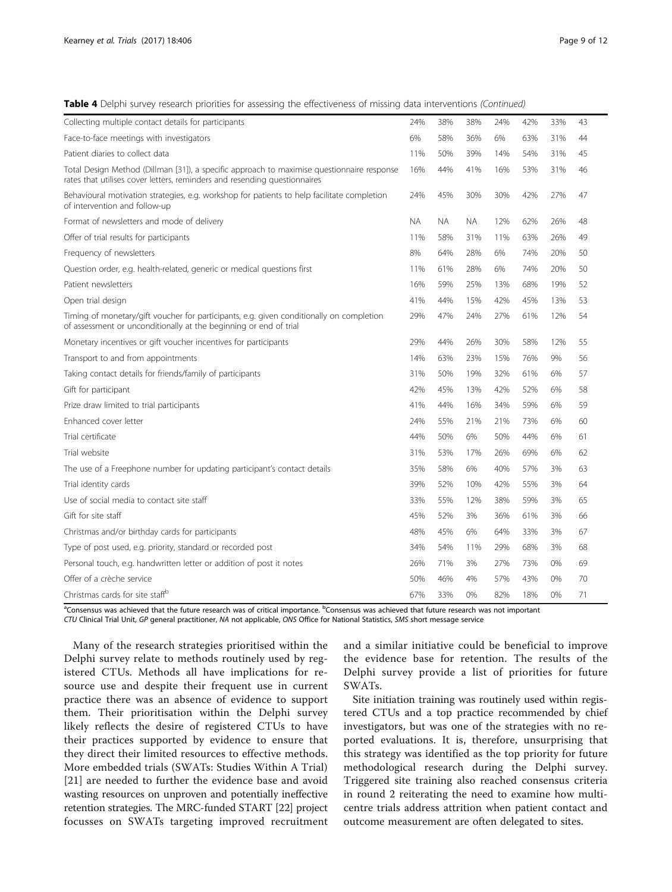|  |  |  | <b>Table 4</b> Delphi survey research priorities for assessing the effectiveness of missing data interventions (Continued) |  |
|--|--|--|----------------------------------------------------------------------------------------------------------------------------|--|
|  |  |  |                                                                                                                            |  |

| Collecting multiple contact details for participants                                                                                                                    | 24%       | 38%       | 38%       | 24% | 42% | 33% | 43 |
|-------------------------------------------------------------------------------------------------------------------------------------------------------------------------|-----------|-----------|-----------|-----|-----|-----|----|
| Face-to-face meetings with investigators                                                                                                                                | 6%        | 58%       | 36%       | 6%  | 63% | 31% | 44 |
| Patient diaries to collect data                                                                                                                                         | 11%       | 50%       | 39%       | 14% | 54% | 31% | 45 |
| Total Design Method (Dillman [31]), a specific approach to maximise questionnaire response<br>rates that utilises cover letters, reminders and resending questionnaires | 16%       | 44%       | 41%       | 16% | 53% | 31% | 46 |
| Behavioural motivation strategies, e.g. workshop for patients to help facilitate completion<br>of intervention and follow-up                                            | 24%       | 45%       | 30%       | 30% | 42% | 27% | 47 |
| Format of newsletters and mode of delivery                                                                                                                              | <b>NA</b> | <b>NA</b> | <b>NA</b> | 12% | 62% | 26% | 48 |
| Offer of trial results for participants                                                                                                                                 | 11%       | 58%       | 31%       | 11% | 63% | 26% | 49 |
| Frequency of newsletters                                                                                                                                                | 8%        | 64%       | 28%       | 6%  | 74% | 20% | 50 |
| Question order, e.g. health-related, generic or medical questions first                                                                                                 | 11%       | 61%       | 28%       | 6%  | 74% | 20% | 50 |
| Patient newsletters                                                                                                                                                     | 16%       | 59%       | 25%       | 13% | 68% | 19% | 52 |
| Open trial design                                                                                                                                                       | 41%       | 44%       | 15%       | 42% | 45% | 13% | 53 |
| Timing of monetary/gift voucher for participants, e.g. given conditionally on completion<br>of assessment or unconditionally at the beginning or end of trial           | 29%       | 47%       | 24%       | 27% | 61% | 12% | 54 |
| Monetary incentives or gift voucher incentives for participants                                                                                                         | 29%       | 44%       | 26%       | 30% | 58% | 12% | 55 |
| Transport to and from appointments                                                                                                                                      | 14%       | 63%       | 23%       | 15% | 76% | 9%  | 56 |
| Taking contact details for friends/family of participants                                                                                                               | 31%       | 50%       | 19%       | 32% | 61% | 6%  | 57 |
| Gift for participant                                                                                                                                                    | 42%       | 45%       | 13%       | 42% | 52% | 6%  | 58 |
| Prize draw limited to trial participants                                                                                                                                | 41%       | 44%       | 16%       | 34% | 59% | 6%  | 59 |
| Enhanced cover letter                                                                                                                                                   | 24%       | 55%       | 21%       | 21% | 73% | 6%  | 60 |
| Trial certificate                                                                                                                                                       | 44%       | 50%       | 6%        | 50% | 44% | 6%  | 61 |
| Trial website                                                                                                                                                           | 31%       | 53%       | 17%       | 26% | 69% | 6%  | 62 |
| The use of a Freephone number for updating participant's contact details                                                                                                | 35%       | 58%       | 6%        | 40% | 57% | 3%  | 63 |
| Trial identity cards                                                                                                                                                    | 39%       | 52%       | 10%       | 42% | 55% | 3%  | 64 |
| Use of social media to contact site staff                                                                                                                               | 33%       | 55%       | 12%       | 38% | 59% | 3%  | 65 |
| Gift for site staff                                                                                                                                                     | 45%       | 52%       | 3%        | 36% | 61% | 3%  | 66 |
| Christmas and/or birthday cards for participants                                                                                                                        | 48%       | 45%       | 6%        | 64% | 33% | 3%  | 67 |
| Type of post used, e.g. priority, standard or recorded post                                                                                                             | 34%       | 54%       | 11%       | 29% | 68% | 3%  | 68 |
| Personal touch, e.g. handwritten letter or addition of post it notes                                                                                                    | 26%       | 71%       | 3%        | 27% | 73% | 0%  | 69 |
| Offer of a crèche service                                                                                                                                               | 50%       | 46%       | 4%        | 57% | 43% | 0%  | 70 |
| Christmas cards for site staffb                                                                                                                                         | 67%       | 33%       | 0%        | 82% | 18% | 0%  | 71 |

<sup>a</sup>Consensus was achieved that the future research was of critical importance. <sup>b</sup>Consensus was achieved that future research was not important CTU Clinical Trial Unit, GP general practitioner, NA not applicable, ONS Office for National Statistics, SMS short message service

Many of the research strategies prioritised within the Delphi survey relate to methods routinely used by registered CTUs. Methods all have implications for resource use and despite their frequent use in current practice there was an absence of evidence to support them. Their prioritisation within the Delphi survey likely reflects the desire of registered CTUs to have their practices supported by evidence to ensure that they direct their limited resources to effective methods. More embedded trials (SWATs: Studies Within A Trial) [[21](#page-11-0)] are needed to further the evidence base and avoid wasting resources on unproven and potentially ineffective retention strategies. The MRC-funded START [\[22\]](#page-11-0) project focusses on SWATs targeting improved recruitment

and a similar initiative could be beneficial to improve the evidence base for retention. The results of the Delphi survey provide a list of priorities for future SWATs.

Site initiation training was routinely used within registered CTUs and a top practice recommended by chief investigators, but was one of the strategies with no reported evaluations. It is, therefore, unsurprising that this strategy was identified as the top priority for future methodological research during the Delphi survey. Triggered site training also reached consensus criteria in round 2 reiterating the need to examine how multicentre trials address attrition when patient contact and outcome measurement are often delegated to sites.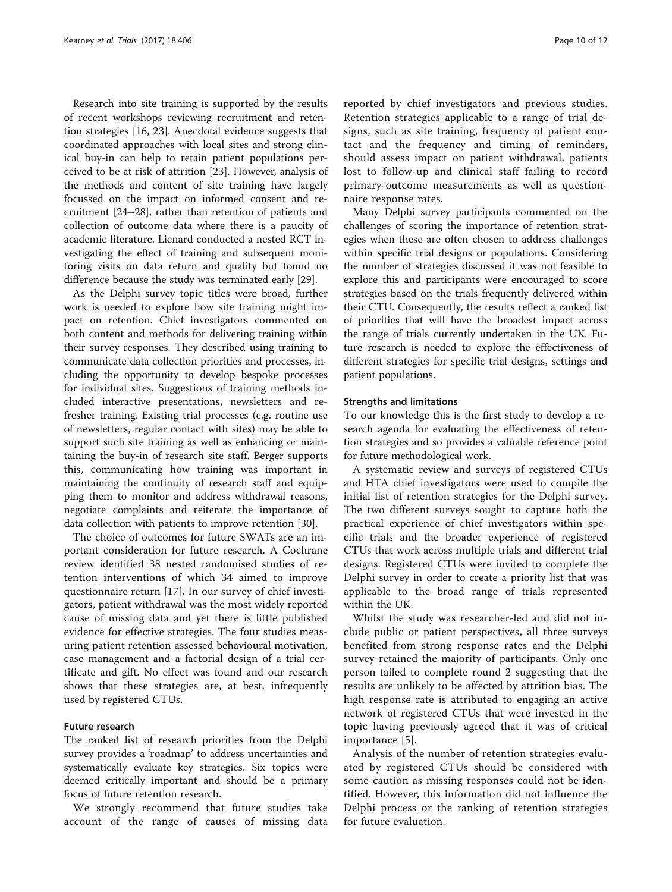Research into site training is supported by the results of recent workshops reviewing recruitment and retention strategies [[16](#page-10-0), [23\]](#page-11-0). Anecdotal evidence suggests that coordinated approaches with local sites and strong clinical buy-in can help to retain patient populations perceived to be at risk of attrition [[23\]](#page-11-0). However, analysis of the methods and content of site training have largely focussed on the impact on informed consent and recruitment [[24](#page-11-0)–[28](#page-11-0)], rather than retention of patients and collection of outcome data where there is a paucity of academic literature. Lienard conducted a nested RCT investigating the effect of training and subsequent monitoring visits on data return and quality but found no difference because the study was terminated early [\[29](#page-11-0)].

As the Delphi survey topic titles were broad, further work is needed to explore how site training might impact on retention. Chief investigators commented on both content and methods for delivering training within their survey responses. They described using training to communicate data collection priorities and processes, including the opportunity to develop bespoke processes for individual sites. Suggestions of training methods included interactive presentations, newsletters and refresher training. Existing trial processes (e.g. routine use of newsletters, regular contact with sites) may be able to support such site training as well as enhancing or maintaining the buy-in of research site staff. Berger supports this, communicating how training was important in maintaining the continuity of research staff and equipping them to monitor and address withdrawal reasons, negotiate complaints and reiterate the importance of data collection with patients to improve retention [[30\]](#page-11-0).

The choice of outcomes for future SWATs are an important consideration for future research. A Cochrane review identified 38 nested randomised studies of retention interventions of which 34 aimed to improve questionnaire return [[17\]](#page-11-0). In our survey of chief investigators, patient withdrawal was the most widely reported cause of missing data and yet there is little published evidence for effective strategies. The four studies measuring patient retention assessed behavioural motivation, case management and a factorial design of a trial certificate and gift. No effect was found and our research shows that these strategies are, at best, infrequently used by registered CTUs.

# Future research

The ranked list of research priorities from the Delphi survey provides a 'roadmap' to address uncertainties and systematically evaluate key strategies. Six topics were deemed critically important and should be a primary focus of future retention research.

We strongly recommend that future studies take account of the range of causes of missing data

reported by chief investigators and previous studies. Retention strategies applicable to a range of trial designs, such as site training, frequency of patient contact and the frequency and timing of reminders, should assess impact on patient withdrawal, patients lost to follow-up and clinical staff failing to record primary-outcome measurements as well as questionnaire response rates.

Many Delphi survey participants commented on the challenges of scoring the importance of retention strategies when these are often chosen to address challenges within specific trial designs or populations. Considering the number of strategies discussed it was not feasible to explore this and participants were encouraged to score strategies based on the trials frequently delivered within their CTU. Consequently, the results reflect a ranked list of priorities that will have the broadest impact across the range of trials currently undertaken in the UK. Future research is needed to explore the effectiveness of different strategies for specific trial designs, settings and patient populations.

#### Strengths and limitations

To our knowledge this is the first study to develop a research agenda for evaluating the effectiveness of retention strategies and so provides a valuable reference point for future methodological work.

A systematic review and surveys of registered CTUs and HTA chief investigators were used to compile the initial list of retention strategies for the Delphi survey. The two different surveys sought to capture both the practical experience of chief investigators within specific trials and the broader experience of registered CTUs that work across multiple trials and different trial designs. Registered CTUs were invited to complete the Delphi survey in order to create a priority list that was applicable to the broad range of trials represented within the UK.

Whilst the study was researcher-led and did not include public or patient perspectives, all three surveys benefited from strong response rates and the Delphi survey retained the majority of participants. Only one person failed to complete round 2 suggesting that the results are unlikely to be affected by attrition bias. The high response rate is attributed to engaging an active network of registered CTUs that were invested in the topic having previously agreed that it was of critical importance [[5](#page-10-0)].

Analysis of the number of retention strategies evaluated by registered CTUs should be considered with some caution as missing responses could not be identified. However, this information did not influence the Delphi process or the ranking of retention strategies for future evaluation.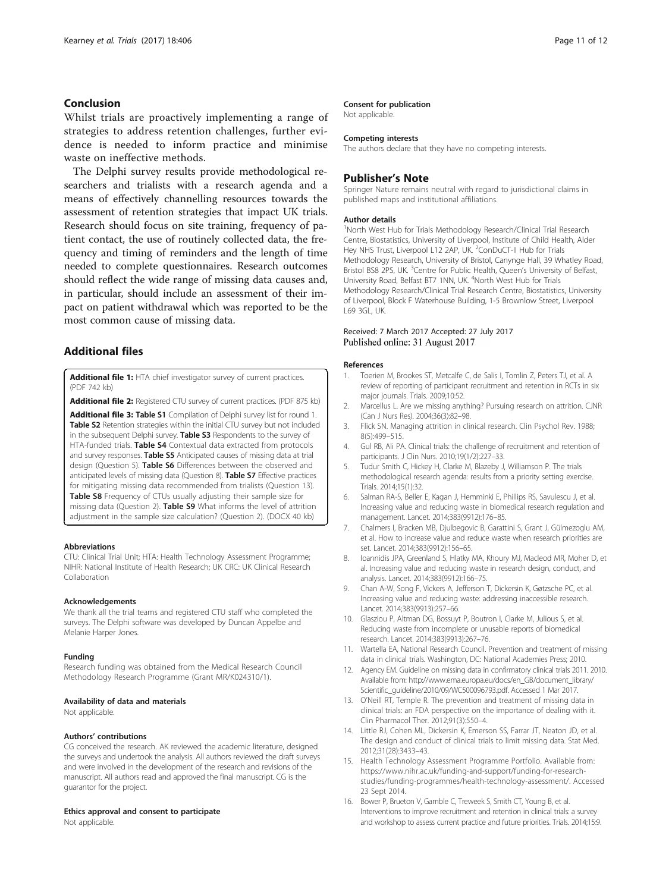# <span id="page-10-0"></span>Conclusion

Whilst trials are proactively implementing a range of strategies to address retention challenges, further evidence is needed to inform practice and minimise waste on ineffective methods.

The Delphi survey results provide methodological researchers and trialists with a research agenda and a means of effectively channelling resources towards the assessment of retention strategies that impact UK trials. Research should focus on site training, frequency of patient contact, the use of routinely collected data, the frequency and timing of reminders and the length of time needed to complete questionnaires. Research outcomes should reflect the wide range of missing data causes and, in particular, should include an assessment of their impact on patient withdrawal which was reported to be the most common cause of missing data.

# Additional files

[Additional file 1:](dx.doi.org/10.1186/s13063-017-2132-z) HTA chief investigator survey of current practices. (PDF 742 kb)

[Additional file 2:](dx.doi.org/10.1186/s13063-017-2132-z) Registered CTU survey of current practices. (PDF 875 kb)

[Additional file 3:](dx.doi.org/10.1186/s13063-017-2132-z) Table S1 Compilation of Delphi survey list for round 1. Table S2 Retention strategies within the initial CTU survey but not included in the subsequent Delphi survey. Table S3 Respondents to the survey of HTA-funded trials. Table S4 Contextual data extracted from protocols and survey responses. Table S5 Anticipated causes of missing data at trial design (Question 5). Table S6 Differences between the observed and anticipated levels of missing data (Question 8). Table S7 Effective practices for mitigating missing data recommended from trialists (Question 13). Table S8 Frequency of CTUs usually adjusting their sample size for missing data (Question 2). Table S9 What informs the level of attrition adjustment in the sample size calculation? (Question 2). (DOCX 40 kb)

#### Abbreviations

CTU: Clinical Trial Unit; HTA: Health Technology Assessment Programme; NIHR: National Institute of Health Research; UK CRC: UK Clinical Research Collaboration

#### Acknowledgements

We thank all the trial teams and registered CTU staff who completed the surveys. The Delphi software was developed by Duncan Appelbe and Melanie Harper Jones.

#### Funding

Research funding was obtained from the Medical Research Council Methodology Research Programme (Grant MR/K024310/1).

## Availability of data and materials

Not applicable.

# Authors' contributions

CG conceived the research. AK reviewed the academic literature, designed the surveys and undertook the analysis. All authors reviewed the draft surveys and were involved in the development of the research and revisions of the manuscript. All authors read and approved the final manuscript. CG is the guarantor for the project.

# Ethics approval and consent to participate

Not applicable.

#### Consent for publication

Not applicable.

#### Competing interests

The authors declare that they have no competing interests.

# Publisher's Note

Springer Nature remains neutral with regard to jurisdictional claims in published maps and institutional affiliations.

## Author details

<sup>1</sup>North West Hub for Trials Methodology Research/Clinical Trial Research Centre, Biostatistics, University of Liverpool, Institute of Child Health, Alder Hey NHS Trust, Liverpool L12 2AP, UK. <sup>2</sup>ConDuCT-II Hub for Trials Methodology Research, University of Bristol, Canynge Hall, 39 Whatley Road, Bristol BS8 2PS, UK. <sup>3</sup>Centre for Public Health, Queen's University of Belfast, University Road, Belfast BT7 1NN, UK. <sup>4</sup>North West Hub for Trials Methodology Research/Clinical Trial Research Centre, Biostatistics, University of Liverpool, Block F Waterhouse Building, 1-5 Brownlow Street, Liverpool L69 3GL, UK.

# Received: 7 March 2017 Accepted: 27 July 2017 Published online: 31 August 2017

#### References

- 1. Toerien M, Brookes ST, Metcalfe C, de Salis I, Tomlin Z, Peters TJ, et al. A review of reporting of participant recruitment and retention in RCTs in six major journals. Trials. 2009;10:52.
- 2. Marcellus L. Are we missing anything? Pursuing research on attrition. CJNR (Can J Nurs Res). 2004;36(3):82–98.
- 3. Flick SN. Managing attrition in clinical research. Clin Psychol Rev. 1988; 8(5):499–515.
- 4. Gul RB, Ali PA. Clinical trials: the challenge of recruitment and retention of participants. J Clin Nurs. 2010;19(1/2):227–33.
- 5. Tudur Smith C, Hickey H, Clarke M, Blazeby J, Williamson P. The trials methodological research agenda: results from a priority setting exercise. Trials. 2014;15(1):32.
- 6. Salman RA-S, Beller E, Kagan J, Hemminki E, Phillips RS, Savulescu J, et al. Increasing value and reducing waste in biomedical research regulation and management. Lancet. 2014;383(9912):176–85.
- 7. Chalmers I, Bracken MB, Djulbegovic B, Garattini S, Grant J, Gülmezoglu AM, et al. How to increase value and reduce waste when research priorities are set. Lancet. 2014;383(9912):156–65.
- 8. Ioannidis JPA, Greenland S, Hlatky MA, Khoury MJ, Macleod MR, Moher D, et al. Increasing value and reducing waste in research design, conduct, and analysis. Lancet. 2014;383(9912):166–75.
- 9. Chan A-W, Song F, Vickers A, Jefferson T, Dickersin K, Gøtzsche PC, et al. Increasing value and reducing waste: addressing inaccessible research. Lancet. 2014;383(9913):257–66.
- 10. Glasziou P, Altman DG, Bossuyt P, Boutron I, Clarke M, Julious S, et al. Reducing waste from incomplete or unusable reports of biomedical research. Lancet. 2014;383(9913):267–76.
- 11. Wartella EA, National Research Council. Prevention and treatment of missing data in clinical trials. Washington, DC: National Academies Press; 2010.
- 12. Agency EM. Guideline on missing data in confirmatory clinical trials 2011. 2010. Available from: [http://www.ema.europa.eu/docs/en\\_GB/document\\_library/](http://www.ema.europa.eu/docs/en_GB/document_library/Scientific_guideline/2010/09/WC500096793.pdf) [Scientific\\_guideline/2010/09/WC500096793.pdf](http://www.ema.europa.eu/docs/en_GB/document_library/Scientific_guideline/2010/09/WC500096793.pdf). Accessed 1 Mar 2017.
- 13. O'Neill RT, Temple R. The prevention and treatment of missing data in clinical trials: an FDA perspective on the importance of dealing with it. Clin Pharmacol Ther. 2012;91(3):550–4.
- 14. Little RJ, Cohen ML, Dickersin K, Emerson SS, Farrar JT, Neaton JD, et al. The design and conduct of clinical trials to limit missing data. Stat Med. 2012;31(28):3433–43.
- 15. Health Technology Assessment Programme Portfolio. Available from: [https://www.nihr.ac.uk/funding-and-support/funding-for-research](https://www.nihr.ac.uk/funding-and-support/funding-for-research-studies/funding-programmes/health-technology-assessment/)[studies/funding-programmes/health-technology-assessment/.](https://www.nihr.ac.uk/funding-and-support/funding-for-research-studies/funding-programmes/health-technology-assessment/) Accessed 23 Sept 2014.
- 16. Bower P, Brueton V, Gamble C, Treweek S, Smith CT, Young B, et al. Interventions to improve recruitment and retention in clinical trials: a survey and workshop to assess current practice and future priorities. Trials. 2014;15:9.